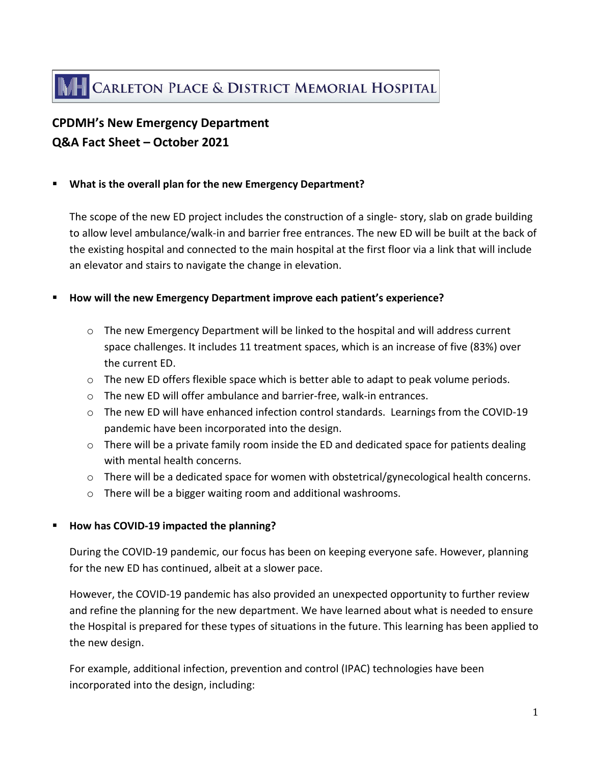# **CPDMH's New Emergency Department Q&A Fact Sheet – October 2021**

### **What is the overall plan for the new Emergency Department?**

The scope of the new ED project includes the construction of a single- story, slab on grade building to allow level ambulance/walk-in and barrier free entrances. The new ED will be built at the back of the existing hospital and connected to the main hospital at the first floor via a link that will include an elevator and stairs to navigate the change in elevation.

### **How will the new Emergency Department improve each patient's experience?**

- $\circ$  The new Emergency Department will be linked to the hospital and will address current space challenges. It includes 11 treatment spaces, which is an increase of five (83%) over the current ED.
- o The new ED offers flexible space which is better able to adapt to peak volume periods.
- $\circ$  The new ED will offer ambulance and barrier-free, walk-in entrances.
- $\circ$  The new ED will have enhanced infection control standards. Learnings from the COVID-19 pandemic have been incorporated into the design.
- $\circ$  There will be a private family room inside the ED and dedicated space for patients dealing with mental health concerns.
- o There will be a dedicated space for women with obstetrical/gynecological health concerns.
- o There will be a bigger waiting room and additional washrooms.

## **How has COVID-19 impacted the planning?**

During the COVID-19 pandemic, our focus has been on keeping everyone safe. However, planning for the new ED has continued, albeit at a slower pace.

However, the COVID-19 pandemic has also provided an unexpected opportunity to further review and refine the planning for the new department. We have learned about what is needed to ensure the Hospital is prepared for these types of situations in the future. This learning has been applied to the new design.

For example, additional infection, prevention and control (IPAC) technologies have been incorporated into the design, including: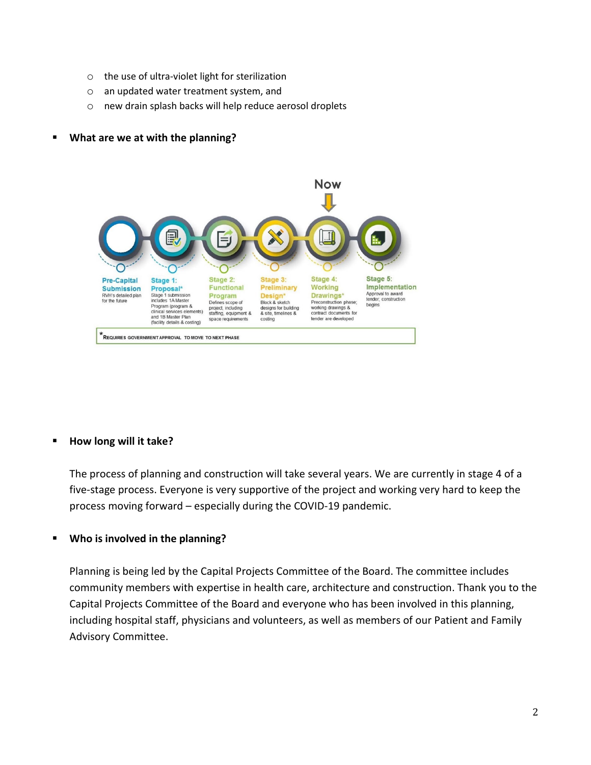- o the use of ultra-violet light for sterilization
- o an updated water treatment system, and
- o new drain splash backs will help reduce aerosol droplets

### **What are we at with the planning?**



### **How long will it take?**

The process of planning and construction will take several years. We are currently in stage 4 of a five-stage process. Everyone is very supportive of the project and working very hard to keep the process moving forward – especially during the COVID-19 pandemic.

#### **Who is involved in the planning?**

Planning is being led by the Capital Projects Committee of the Board. The committee includes community members with expertise in health care, architecture and construction. Thank you to the Capital Projects Committee of the Board and everyone who has been involved in this planning, including hospital staff, physicians and volunteers, as well as members of our Patient and Family Advisory Committee.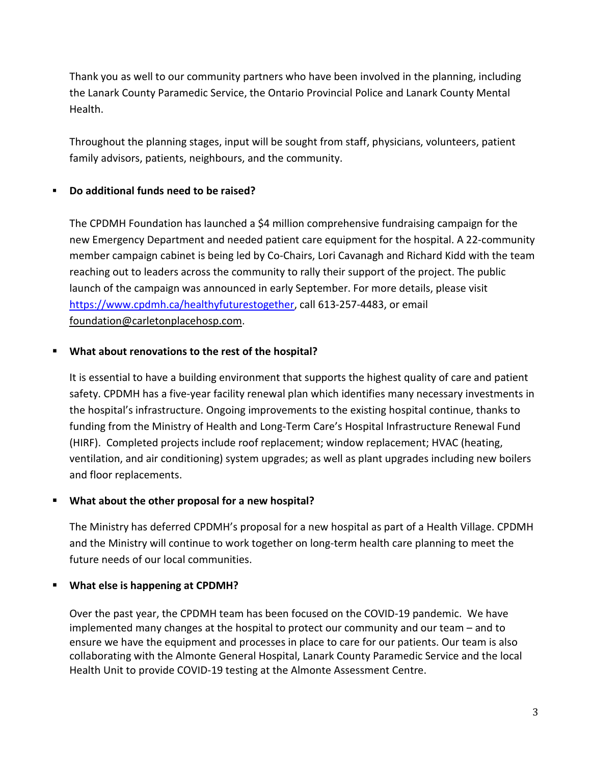Thank you as well to our community partners who have been involved in the planning, including the Lanark County Paramedic Service, the Ontario Provincial Police and Lanark County Mental Health.

Throughout the planning stages, input will be sought from staff, physicians, volunteers, patient family advisors, patients, neighbours, and the community.

# **Do additional funds need to be raised?**

The CPDMH Foundation has launched a \$4 million comprehensive fundraising campaign for the new Emergency Department and needed patient care equipment for the hospital. A 22-community member campaign cabinet is being led by Co-Chairs, Lori Cavanagh and Richard Kidd with the team reaching out to leaders across the community to rally their support of the project. The public launch of the campaign was announced in early September. For more details, please visit [https://www.cpdmh.ca/healthyfuturestogether,](https://www.cpdmh.ca/healthyfuturestogether) call 613-257-4483, or email [foundation@carletonplacehosp.com.](mailto:foundation@carletonplacehosp.com)

## **What about renovations to the rest of the hospital?**

It is essential to have a building environment that supports the highest quality of care and patient safety. CPDMH has a five-year facility renewal plan which identifies many necessary investments in the hospital's infrastructure. Ongoing improvements to the existing hospital continue, thanks to funding from the Ministry of Health and Long-Term Care's Hospital Infrastructure Renewal Fund (HIRF). Completed projects include roof replacement; window replacement; HVAC (heating, ventilation, and air conditioning) system upgrades; as well as plant upgrades including new boilers and floor replacements.

## **What about the other proposal for a new hospital?**

The Ministry has deferred CPDMH's proposal for a new hospital as part of a Health Village. CPDMH and the Ministry will continue to work together on long-term health care planning to meet the future needs of our local communities.

## **What else is happening at CPDMH?**

Over the past year, the CPDMH team has been focused on the COVID-19 pandemic. We have implemented many changes at the hospital to protect our community and our team – and to ensure we have the equipment and processes in place to care for our patients. Our team is also collaborating with the Almonte General Hospital, Lanark County Paramedic Service and the local Health Unit to provide COVID-19 testing at the Almonte Assessment Centre.